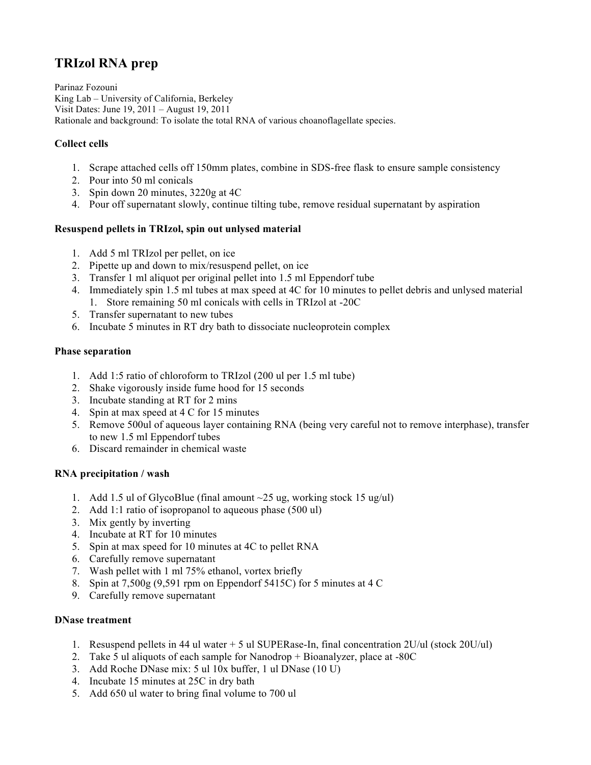# **TRIzol RNA prep**

Parinaz Fozouni King Lab – University of California, Berkeley Visit Dates: June 19, 2011 – August 19, 2011 Rationale and background: To isolate the total RNA of various choanoflagellate species.

## **Collect cells**

- 1. Scrape attached cells off 150mm plates, combine in SDS-free flask to ensure sample consistency
- 2. Pour into 50 ml conicals
- 3. Spin down 20 minutes, 3220g at 4C
- 4. Pour off supernatant slowly, continue tilting tube, remove residual supernatant by aspiration

## **Resuspend pellets in TRIzol, spin out unlysed material**

- 1. Add 5 ml TRIzol per pellet, on ice
- 2. Pipette up and down to mix/resuspend pellet, on ice
- 3. Transfer 1 ml aliquot per original pellet into 1.5 ml Eppendorf tube
- 4. Immediately spin 1.5 ml tubes at max speed at 4C for 10 minutes to pellet debris and unlysed material 1. Store remaining 50 ml conicals with cells in TRIzol at -20C
- 5. Transfer supernatant to new tubes
- 6. Incubate 5 minutes in RT dry bath to dissociate nucleoprotein complex

#### **Phase separation**

- 1. Add 1:5 ratio of chloroform to TRIzol (200 ul per 1.5 ml tube)
- 2. Shake vigorously inside fume hood for 15 seconds
- 3. Incubate standing at RT for 2 mins
- 4. Spin at max speed at 4 C for 15 minutes
- 5. Remove 500ul of aqueous layer containing RNA (being very careful not to remove interphase), transfer to new 1.5 ml Eppendorf tubes
- 6. Discard remainder in chemical waste

## **RNA precipitation / wash**

- 1. Add 1.5 ul of GlycoBlue (final amount ~25 ug, working stock 15 ug/ul)
- 2. Add 1:1 ratio of isopropanol to aqueous phase (500 ul)
- 3. Mix gently by inverting
- 4. Incubate at RT for 10 minutes
- 5. Spin at max speed for 10 minutes at 4C to pellet RNA
- 6. Carefully remove supernatant
- 7. Wash pellet with 1 ml 75% ethanol, vortex briefly
- 8. Spin at 7,500g (9,591 rpm on Eppendorf 5415C) for 5 minutes at 4 C
- 9. Carefully remove supernatant

#### **DNase treatment**

- 1. Resuspend pellets in 44 ul water  $+5$  ul SUPERase-In, final concentration 2U/ul (stock 20U/ul)
- 2. Take 5 ul aliquots of each sample for Nanodrop + Bioanalyzer, place at -80C
- 3. Add Roche DNase mix: 5 ul 10x buffer, 1 ul DNase (10 U)
- 4. Incubate 15 minutes at 25C in dry bath
- 5. Add 650 ul water to bring final volume to 700 ul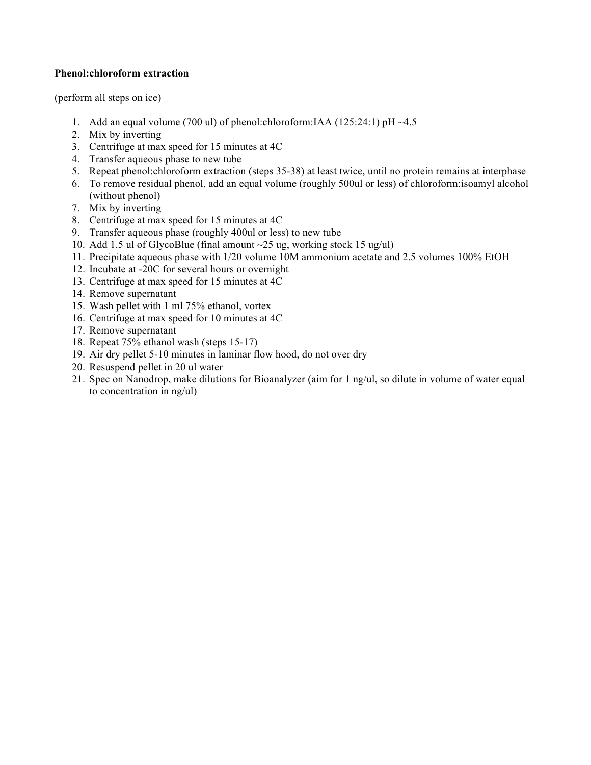## **Phenol:chloroform extraction**

(perform all steps on ice)

- 1. Add an equal volume (700 ul) of phenol:chloroform:IAA (125:24:1) pH  $\sim$ 4.5
- 2. Mix by inverting
- 3. Centrifuge at max speed for 15 minutes at 4C
- 4. Transfer aqueous phase to new tube
- 5. Repeat phenol:chloroform extraction (steps 35-38) at least twice, until no protein remains at interphase
- 6. To remove residual phenol, add an equal volume (roughly 500ul or less) of chloroform:isoamyl alcohol (without phenol)
- 7. Mix by inverting
- 8. Centrifuge at max speed for 15 minutes at 4C
- 9. Transfer aqueous phase (roughly 400ul or less) to new tube
- 10. Add 1.5 ul of GlycoBlue (final amount ~25 ug, working stock 15 ug/ul)
- 11. Precipitate aqueous phase with 1/20 volume 10M ammonium acetate and 2.5 volumes 100% EtOH
- 12. Incubate at -20C for several hours or overnight
- 13. Centrifuge at max speed for 15 minutes at 4C
- 14. Remove supernatant
- 15. Wash pellet with 1 ml 75% ethanol, vortex
- 16. Centrifuge at max speed for 10 minutes at 4C
- 17. Remove supernatant
- 18. Repeat 75% ethanol wash (steps 15-17)
- 19. Air dry pellet 5-10 minutes in laminar flow hood, do not over dry
- 20. Resuspend pellet in 20 ul water
- 21. Spec on Nanodrop, make dilutions for Bioanalyzer (aim for 1 ng/ul, so dilute in volume of water equal to concentration in ng/ul)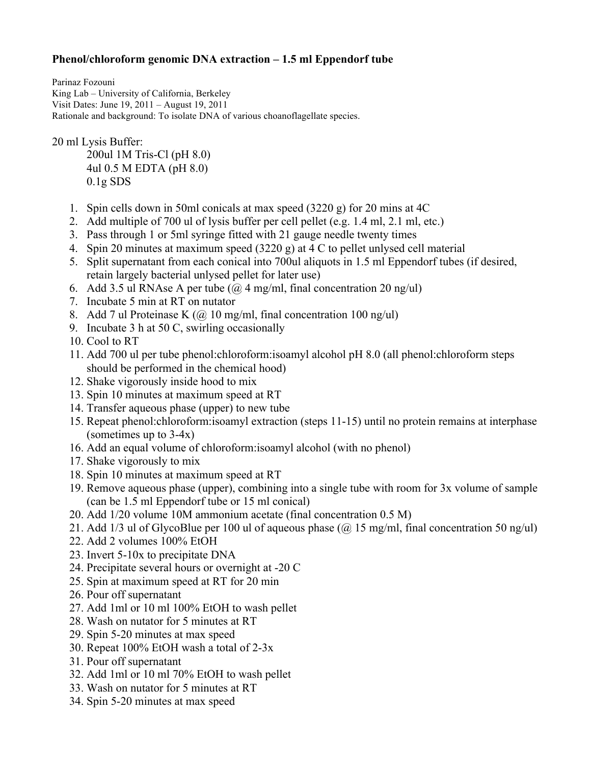## **Phenol/chloroform genomic DNA extraction – 1.5 ml Eppendorf tube**

Parinaz Fozouni King Lab – University of California, Berkeley Visit Dates: June 19, 2011 – August 19, 2011 Rationale and background: To isolate DNA of various choanoflagellate species.

20 ml Lysis Buffer:

200ul 1M Tris-Cl (pH 8.0) 4ul 0.5 M EDTA (pH 8.0) 0.1g SDS

- 1. Spin cells down in 50ml conicals at max speed (3220 g) for 20 mins at 4C
- 2. Add multiple of 700 ul of lysis buffer per cell pellet (e.g. 1.4 ml, 2.1 ml, etc.)
- 3. Pass through 1 or 5ml syringe fitted with 21 gauge needle twenty times
- 4. Spin 20 minutes at maximum speed (3220 g) at 4 C to pellet unlysed cell material
- 5. Split supernatant from each conical into 700ul aliquots in 1.5 ml Eppendorf tubes (if desired, retain largely bacterial unlysed pellet for later use)
- 6. Add 3.5 ul RNAse A per tube ( $\omega$  4 mg/ml, final concentration 20 ng/ul)
- 7. Incubate 5 min at RT on nutator
- 8. Add 7 ul Proteinase K (@ 10 mg/ml, final concentration 100 ng/ul)
- 9. Incubate 3 h at 50 C, swirling occasionally
- 10. Cool to RT
- 11. Add 700 ul per tube phenol:chloroform:isoamyl alcohol pH 8.0 (all phenol:chloroform steps should be performed in the chemical hood)
- 12. Shake vigorously inside hood to mix
- 13. Spin 10 minutes at maximum speed at RT
- 14. Transfer aqueous phase (upper) to new tube
- 15. Repeat phenol:chloroform:isoamyl extraction (steps 11-15) until no protein remains at interphase (sometimes up to 3-4x)
- 16. Add an equal volume of chloroform:isoamyl alcohol (with no phenol)
- 17. Shake vigorously to mix
- 18. Spin 10 minutes at maximum speed at RT
- 19. Remove aqueous phase (upper), combining into a single tube with room for 3x volume of sample (can be 1.5 ml Eppendorf tube or 15 ml conical)
- 20. Add 1/20 volume 10M ammonium acetate (final concentration 0.5 M)
- 21. Add 1/3 ul of GlycoBlue per 100 ul of aqueous phase (@ 15 mg/ml, final concentration 50 ng/ul)
- 22. Add 2 volumes 100% EtOH
- 23. Invert 5-10x to precipitate DNA
- 24. Precipitate several hours or overnight at -20 C
- 25. Spin at maximum speed at RT for 20 min
- 26. Pour off supernatant
- 27. Add 1ml or 10 ml 100% EtOH to wash pellet
- 28. Wash on nutator for 5 minutes at RT
- 29. Spin 5-20 minutes at max speed
- 30. Repeat 100% EtOH wash a total of 2-3x
- 31. Pour off supernatant
- 32. Add 1ml or 10 ml 70% EtOH to wash pellet
- 33. Wash on nutator for 5 minutes at RT
- 34. Spin 5-20 minutes at max speed